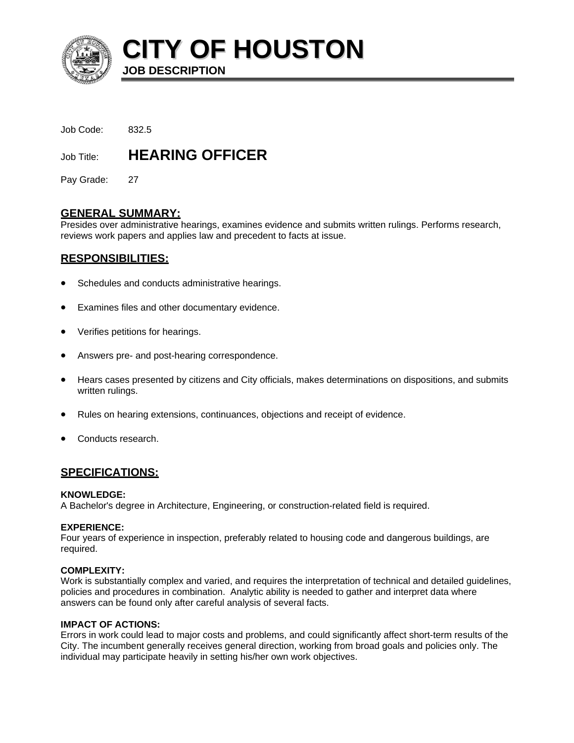

**CITY OF HOUSTON**

Job Code: 832.5

# Job Title: **HEARING OFFICER**

**JOB DESCRIPTION** 

Pay Grade: 27

# **GENERAL SUMMARY:**

Presides over administrative hearings, examines evidence and submits written rulings. Performs research, reviews work papers and applies law and precedent to facts at issue.

# **RESPONSIBILITIES:**

- Schedules and conducts administrative hearings.
- Examines files and other documentary evidence.
- Verifies petitions for hearings.
- Answers pre- and post-hearing correspondence.
- Hears cases presented by citizens and City officials, makes determinations on dispositions, and submits written rulings.
- Rules on hearing extensions, continuances, objections and receipt of evidence.
- Conducts research.

# **SPECIFICATIONS:**

## **KNOWLEDGE:**

A Bachelor's degree in Architecture, Engineering, or construction-related field is required.

## **EXPERIENCE:**

Four years of experience in inspection, preferably related to housing code and dangerous buildings, are required.

## **COMPLEXITY:**

Work is substantially complex and varied, and requires the interpretation of technical and detailed guidelines, policies and procedures in combination. Analytic ability is needed to gather and interpret data where answers can be found only after careful analysis of several facts.

## **IMPACT OF ACTIONS:**

Errors in work could lead to major costs and problems, and could significantly affect short-term results of the City. The incumbent generally receives general direction, working from broad goals and policies only. The individual may participate heavily in setting his/her own work objectives.